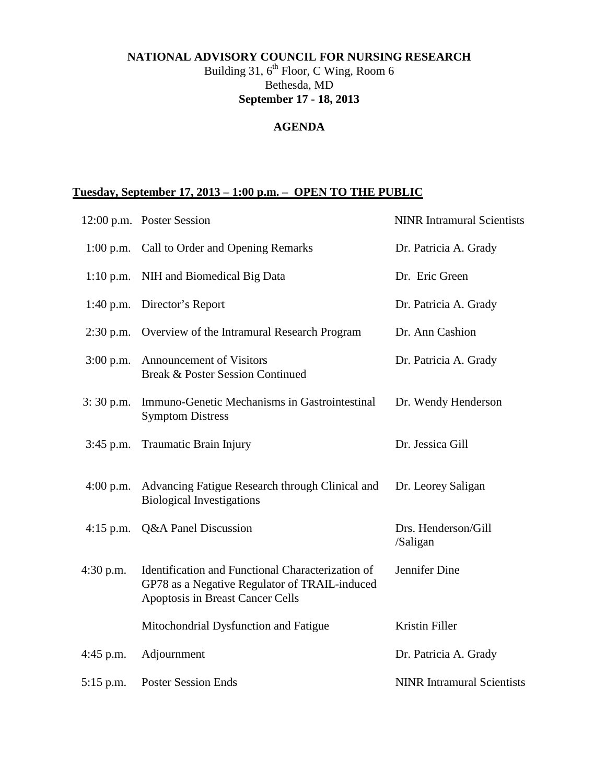## **NATIONAL ADVISORY COUNCIL FOR NURSING RESEARCH**

Building 31,  $6^{\text{th}}$  Floor, C Wing, Room 6 Bethesda, MD **September 17 - 18, 2013**

## **AGENDA**

## **Tuesday, September 17, 2013 – 1:00 p.m. – OPEN TO THE PUBLIC**

|             | 12:00 p.m. Poster Session                                                                                                              | <b>NINR Intramural Scientists</b> |
|-------------|----------------------------------------------------------------------------------------------------------------------------------------|-----------------------------------|
|             | 1:00 p.m. Call to Order and Opening Remarks                                                                                            | Dr. Patricia A. Grady             |
|             | 1:10 p.m. NIH and Biomedical Big Data                                                                                                  | Dr. Eric Green                    |
| $1:40$ p.m. | Director's Report                                                                                                                      | Dr. Patricia A. Grady             |
|             | 2:30 p.m. Overview of the Intramural Research Program                                                                                  | Dr. Ann Cashion                   |
| $3:00$ p.m. | <b>Announcement of Visitors</b><br><b>Break &amp; Poster Session Continued</b>                                                         | Dr. Patricia A. Grady             |
| $3:30$ p.m. | Immuno-Genetic Mechanisms in Gastrointestinal<br><b>Symptom Distress</b>                                                               | Dr. Wendy Henderson               |
| $3:45$ p.m. | Traumatic Brain Injury                                                                                                                 | Dr. Jessica Gill                  |
| $4:00$ p.m. | Advancing Fatigue Research through Clinical and<br><b>Biological Investigations</b>                                                    | Dr. Leorey Saligan                |
| $4:15$ p.m. | Q&A Panel Discussion                                                                                                                   | Drs. Henderson/Gill<br>/Saligan   |
| $4:30$ p.m. | Identification and Functional Characterization of<br>GP78 as a Negative Regulator of TRAIL-induced<br>Apoptosis in Breast Cancer Cells | Jennifer Dine                     |
|             | Mitochondrial Dysfunction and Fatigue                                                                                                  | Kristin Filler                    |
| $4:45$ p.m. | Adjournment                                                                                                                            | Dr. Patricia A. Grady             |
| $5:15$ p.m. | <b>Poster Session Ends</b>                                                                                                             | <b>NINR</b> Intramural Scientists |